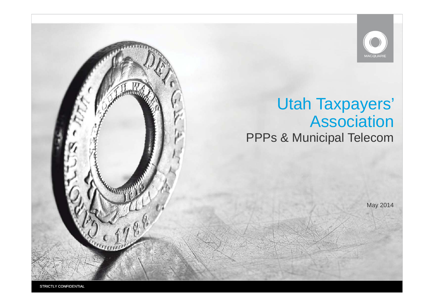

# **Utah Taxpayers' Association PPPs & Municipal Telecom**

May 2014

STRICTLY CONFIDENTIAL

**QUIDIT**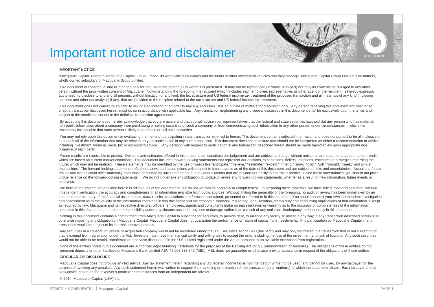

# Important notice and disclaimer

#### **IMPORTANT NOTICE**

"Macquarie Capital" refers to Macquarie Capital Group Limited, its worldwide subsidiaries and the funds or other investment vehicles that they manage. Macquarie Capital Group Limited is an indirect, wholly-owned subsidiary of Macquarie Group Limited.

This document is confidential and is intended only for the use of the person(s) to whom it is presented. It may not be reproduced (in whole or in part) nor may its contents be divulged to any other person without the prior written consent of Macquarie. Notwithstanding the foregoing, the recipient (which includes each employee, representative, or other agent of the recipient) is hereby expressly authorized to disclose to any and all persons, without limitation of any kind, the tax structure and US federal income tax treatment of the proposed transaction and all materials of any kind (including opinions and other tax analysis) if any, that are provided to the recipient related to the tax structure and US federal income tax treatment.

This document does not constitute an offer to sell or a solicitation of an offer to buy any securities. It is an outline of matters for discussion only. Any person receiving this document and wishing to effect a transaction discussed herein, must do so in accordance with applicable law. Any transaction implementing any proposal discussed in this document shall be exclusively upon the terms and subject to the conditions set out in the definitive transaction agreements.

By accepting this document you hereby acknowledge that you are aware and that you will advise your representatives that the federal and state securities laws prohibit any person who has material. non-public information about a company from purchasing or selling securities of such a company or from communicating such information to any other person under circumstances in which it is reasonably foreseeable that such person is likely to purchase or sell such securities.

You may not rely upon this document in evaluating the merits of participating in any transaction referred to herein. This document contains selected information and does not purport to be all-inclusive or to contain all of the information that may be relevant to your participation in any such transaction. This document does not constitute and should not be interpreted as either a recommendation or advice, including investment, financial, legal, tax or accounting advice. Any decision with respect to participation in any transaction described herein should be made based solely upon appropriate due diligence of each party.

Future results are impossible to predict. Opinions and estimates offered in this presentation constitute our judgement and are subject to change without notice, as are statements about market trends, which are based on current market conditions. This document includes forward-looking statements that represent our opinions, expectations, beliefs, intentions, estimates or strategies regarding the future, which may not be realized. These statements may be identified by the use of words like "anticipate," "believe," "estimate," "expect," "intend," "may," "plan," "will," "should," "seek," and similar expressions. The forward-looking statements reflect our views and assumptions with respect to future events as of the date of this document and are subject to risks and uncertainties. Actual and future results and trends could differ materially from those described by such statements due to various factors that are beyond our ability to control or predict. Given these uncertainties, you should not place undue reliance on the forward-looking statements. We do not undertake any obligation to update or revise any forward-looking statements, whether as a result of new information, future events or otherwise.

We believe the information provided herein is reliable, as of the date hereof, but do not warrant its accuracy or completeness. In preparing these materials, we have relied upon and assumed, without independent verification, the accuracy and completeness of all information available from public sources. Without limiting the generality of the foregoing, no audit or review has been undertaken by an independent third party of the financial assumptions, data, results, calculations and forecasts contained, presented or referred to in this document. You should conduct your own independent investigation and assessment as to the validity of the information contained in this document and the economic, financial, regulatory, legal, taxation, stamp duty and accounting implications of that information. Except as required by law. Macquarie and its respective directors, officers, employees, agents and consultants make no representation or warranty as to the accuracy or completeness of the information contained in this document, and take no responsibility under any circumstances for any loss or damage suffered as a result of any omission, inadequacy, or inaccuracy in this document.

Nothing in this document contains a commitment from Macquarie Capital to subscribe for securities, to provide debt, to arrange any facility, to invest in any way in any transaction described herein or is otherwise imposing any obligation on Macquarie Capital. Macquarie Capital does not guarantee the performance or return of capital from investments. Any participation by Macquarie Capital in any transaction would be subject to its internal approval process.

Any securities in a consortium vehicle or acquisition company would not be registered under the U.S. Securities Act of 1933 (the "Act") and may only be offered in a transaction that is not subject to or that is exempt from registration under the Act. Investors must have the financial ability and willingness to accept the risks, including the loss of the investment and lack of liquidity. Any such securities would not be able to be resold, transferred or otherwise disposed of in the U.S. unless registered under the Act or pursuant to an available exemption from registration.

None of the entities noted in this document are authorized deposit-taking institutions for the purposes of the Banking Act 1959 (Commonwealth of Australia). The obligations of these entities do not represent deposits or other liabilities of Macquarie Bank Limited ABN 46 008 583 542 (MBL). MBL does not guarantee or otherwise provide assurance in respect of the obligations of these entities.

#### **CIRCULAR 230 DISCLOSURE**

Macquarie Capital does not provide any tax advice. Any tax statement herein regarding any US federal income tax is not intended or written to be used, and cannot be used, by any taxpayer for the purpose of avoiding any penalties. Any such statement herein was written to support the marketing or promotion of the transaction(s) or matter(s) to which the statement relates. Each taxpayer should seek advice based on the taxpayer's particular circumstances from an independent tax advisor.

© 2014 Macquarie Capital (USA) Inc.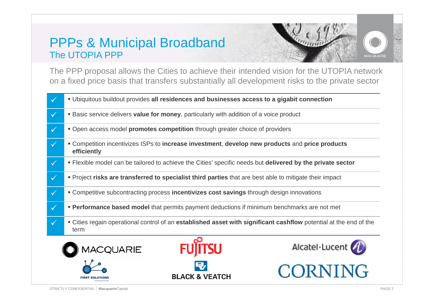# PPPs & Municipal Broadband p The UTOPIA PPP





The PPP proposal allows the Cities to achieve their intended vision for the UTOPIA network on a fixed price basis that transfers substantially all development risks to the private sector



STRICTLY CONFIDENTIAL **Macquarie**Capital **Macquarie**Capital **PAGE 2**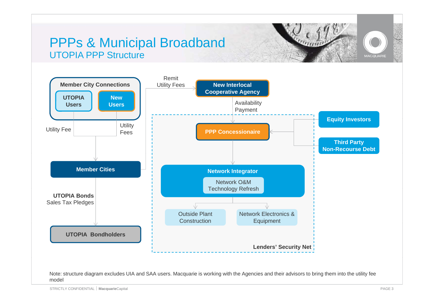# PPPs & Municipal Broadband UTOPIA PPP Structure



#### Note: structure diagram excludes UIA and SAA users. Macquarie is working with the Agencies and their advisors to bring them into the utility fee model

MACQUARIE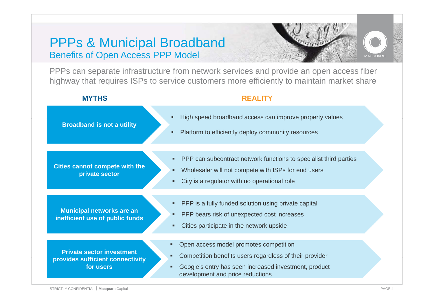### PPPs & Municipal Broadband Benefits of Open Access PPP Model





PPPs can separate infrastructure from network services and provide an open access fiber highway that requires ISPs to service customers more efficiently to maintain market share

#### **MYTHS**

#### **REALITY**

| <b>Broadband is not a utility</b>                                                 | High speed broadband access can improve property values<br>п<br>Platform to efficiently deploy community resources<br>п                                                                                  |  |
|-----------------------------------------------------------------------------------|----------------------------------------------------------------------------------------------------------------------------------------------------------------------------------------------------------|--|
| <b>Cities cannot compete with the</b><br>private sector                           | PPP can subcontract network functions to specialist third parties<br>п<br>Wholesaler will not compete with ISPs for end users<br>City is a regulator with no operational role                            |  |
| <b>Municipal networks are an</b><br>inefficient use of public funds               | PPP is a fully funded solution using private capital<br>PPP bears risk of unexpected cost increases<br>Cities participate in the network upside                                                          |  |
| <b>Private sector investment</b><br>provides sufficient connectivity<br>for users | Open access model promotes competition<br>Ξ<br>Competition benefits users regardless of their provider<br>п<br>Google's entry has seen increased investment, product<br>development and price reductions |  |